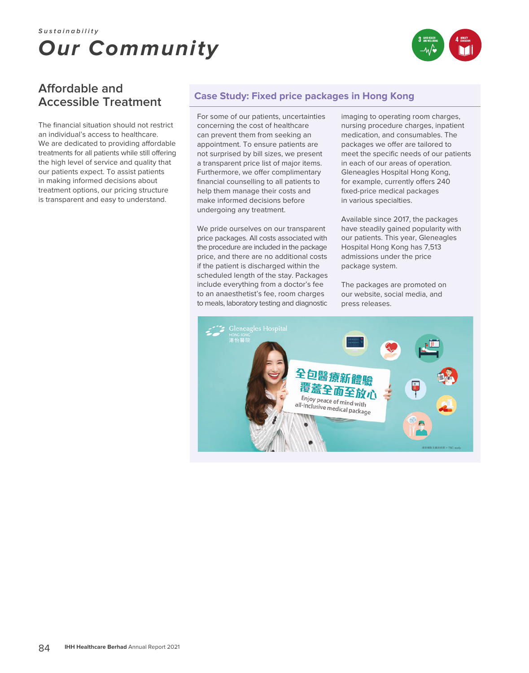# *Our Community* **Sustainability**



## **Affordable and Accessible Treatment**

The financial situation should not restrict an individual's access to healthcare. We are dedicated to providing affordable treatments for all patients while still offering the high level of service and quality that our patients expect. To assist patients in making informed decisions about treatment options, our pricing structure is transparent and easy to understand.

### **Case Study: Fixed price packages in Hong Kong**

For some of our patients, uncertainties concerning the cost of healthcare can prevent them from seeking an appointment. To ensure patients are not surprised by bill sizes, we present a transparent price list of major items. Furthermore, we offer complimentary financial counselling to all patients to help them manage their costs and make informed decisions before undergoing any treatment.

We pride ourselves on our transparent price packages. All costs associated with the procedure are included in the package price, and there are no additional costs if the patient is discharged within the scheduled length of the stay. Packages include everything from a doctor's fee to an anaesthetist's fee, room charges to meals, laboratory testing and diagnostic

imaging to operating room charges, nursing procedure charges, inpatient medication, and consumables. The packages we offer are tailored to meet the specific needs of our patients in each of our areas of operation. Gleneagles Hospital Hong Kong, for example, currently offers 240 fixed-price medical packages in various specialties.

Available since 2017, the packages have steadily gained popularity with our patients. This year, Gleneagles Hospital Hong Kong has 7,513 admissions under the price package system.

The packages are promoted on our website, social media, and press releases.